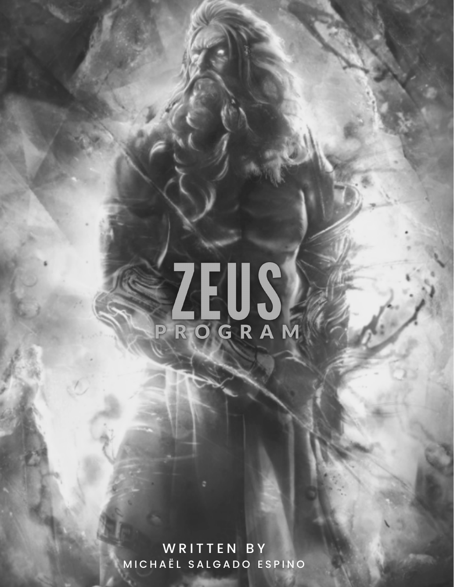# PROGRAM

WRITTEN BY MICHAEL SALGADO ESPINO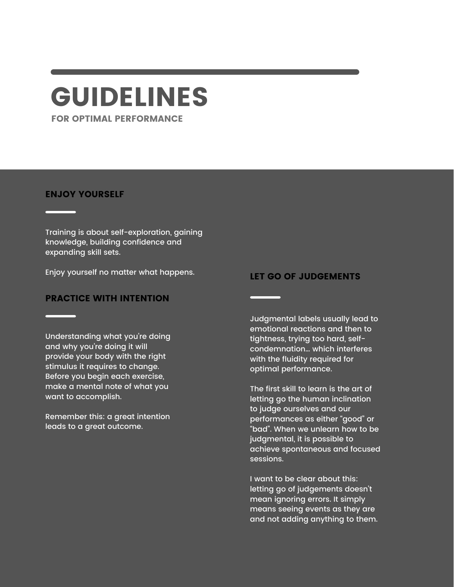# GUIDELINES

FOR OPTIMAL PERFORMANCE

#### ENJOY YOURSELF

Training is about self-exploration, gaining knowledge, building confidence and expanding skill sets.

Enjoy yourself no matter what happens.

#### PRACTICE WITH INTENTION

Understanding what you're doing and why you're doing it will provide your body with the right stimulus it requires to change. Before you begin each exercise, make a mental note of what you want to accomplish.

Remember this: a great intention leads to a great outcome.

#### LET GO OF JUDGEMENTS

Judgmental labels usually lead to emotional reactions and then to tightness, trying too hard, selfcondemnation… which interferes with the fluidity required for optimal performance.

The first skill to learn is the art of letting go the human inclination to judge ourselves and our performances as either "good" or "bad". When we unlearn how to be judgmental, it is possible to achieve spontaneous and focused sessions.

I want to be clear about this: letting go of judgements doesn't mean ignoring errors. It simply means seeing events as they are and not adding anything to them.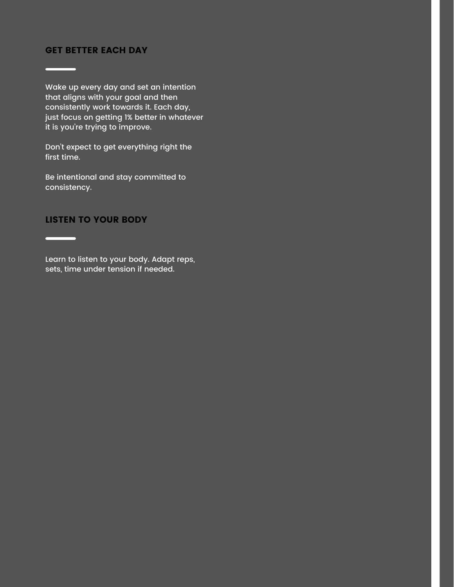#### GET BETTER EACH DAY

 $\overline{\phantom{0}}$ 

 $\overline{\phantom{a}}$ 

ш.

Wake up every day and set an intention that aligns with your goal and then consistently work towards it. Each day, just focus on getting 1% better in whatever it is you're trying to improve.

Don't expect to get everything right the first time.

Be intentional and stay committed to consistency.

#### LISTEN TO YOUR BODY

Learn to listen to your body. Adapt reps, sets, time under tension if needed.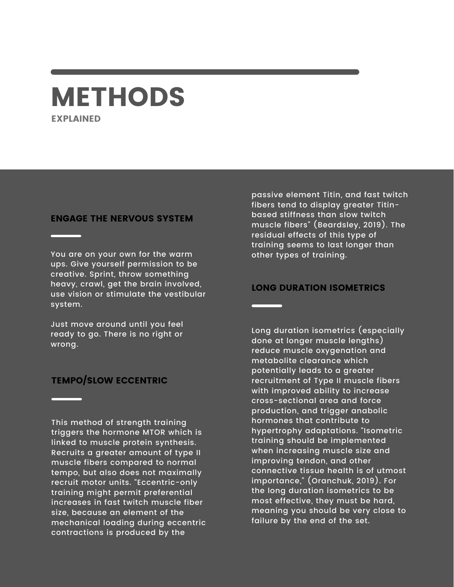# METHODS EXPLAINED

#### ENGAGE THE NERVOUS SYSTEM

You are on your own for the warm ups. Give yourself permission to be creative. Sprint, throw something heavy, crawl, get the brain involved, use vision or stimulate the vestibular system.

Just move around until you feel ready to go. There is no right or wrong.

#### TEMPO/SLOW ECCENTRIC

This method of strength training triggers the hormone MTOR which is linked to muscle protein synthesis. Recruits a greater amount of type II muscle fibers compared to normal tempo, but also does not maximally recruit motor units. "Eccentric-only training might permit preferential increases in fast twitch muscle fiber size, because an element of the mechanical loading during eccentric contractions is produced by the

passive element Titin, and fast twitch fibers tend to display greater Titinbased stiffness than slow twitch muscle fibers" (Beardsley, 2019). The residual effects of this type of training seems to last longer than other types of training.

#### LONG DURATION ISOMETRICS

Long duration isometrics (especially done at longer muscle lengths) reduce muscle oxygenation and metabolite clearance which potentially leads to a greater recruitment of Type II muscle fibers with improved ability to increase cross-sectional area and force production, and trigger anabolic hormones that contribute to hypertrophy adaptations. "Isometric training should be implemented when increasing muscle size and improving tendon, and other connective tissue health is of utmost importance," (Oranchuk, 2019). For the long duration isometrics to be most effective, they must be hard, meaning you should be very close to failure by the end of the set.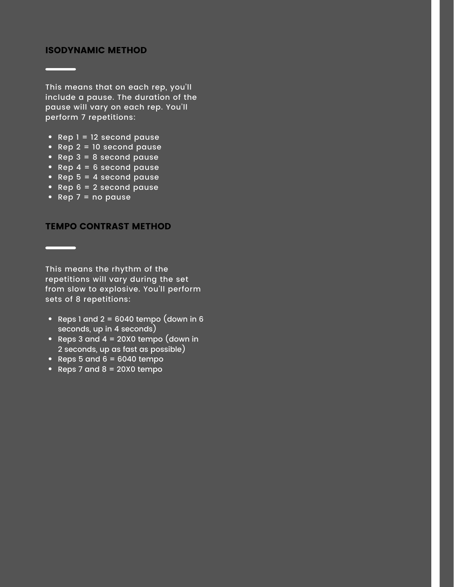#### ISODYNAMIC METHOD

This means that on each rep, you'll include a pause. The duration of the pause will vary on each rep. You'll perform 7 repetitions:

- Rep  $1 = 12$  second pause
- $\overrightarrow{Rep 2}$  = 10 second pause
- Rep  $3 = 8$  second pause
- Rep  $4 = 6$  second pause
- Rep  $5 = 4$  second pause
- Rep  $6 = 2$  second pause
- Rep  $7 = no$  pause

 $\overline{\phantom{0}}$ 

TEMPO CONTRAST METHOD

This means the rhythm of the repetitions will vary during the set from slow to explosive. You'll perform sets of 8 repetitions:

- Reps 1 and 2 = 6040 tempo (down in 6 seconds, up in 4 seconds)
- Reps 3 and 4 = 20X0 tempo (down in 2 seconds, up as fast as possible)
- Reps 5 and  $6 = 6040$  tempo
- Reps 7 and  $8 = 20X0$  tempo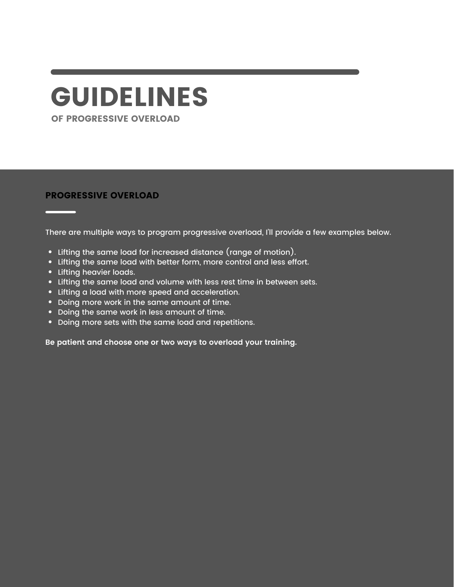# GUIDELINES

OF PROGRESSIVE OVERLOAD

#### PROGRESSIVE OVERLOAD

There are multiple ways to program progressive overload, I'll provide a few examples below.

- Lifting the same load for increased distance (range of motion).
- Lifting the same load with better form, more control and less effort.
- Lifting heavier loads.
- Lifting the same load and volume with less rest time in between sets.
- Lifting a load with more speed and acceleration.
- Doing more work in the same amount of time.
- Doing the same work in less amount of time.
- Doing more sets with the same load and repetitions.

**Be patient and choose one or two ways to overload your training.**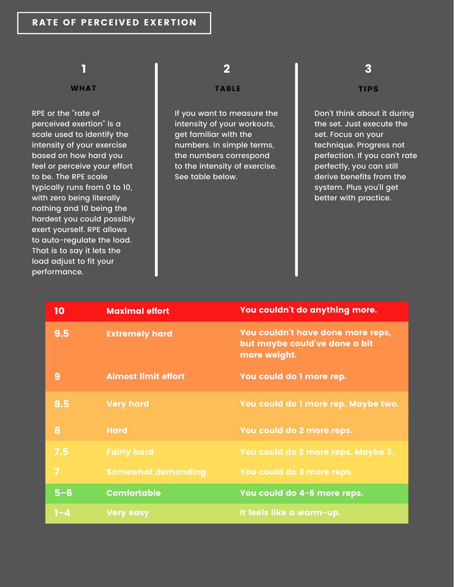#### RATE OF PERCEIVED EXERTION

### 1

#### **WHAT**

RPE or the "rate of perceived exertion" is a scale used to identify the intensity of your exercise based on how hard you feel or perceive your effort to be. The RPE scale typically runs from 0 to 10, with zero being literally nothing and 10 being the hardest you could possibly exert yourself. RPE allows to auto-regulate the load. That is to say it lets the load adjust to fit your performance.

## 2 3

#### TABLE **TIPS**

If you want to measure the intensity of your workouts, get familiar with the numbers. In simple terms, the numbers correspond to the intensity of exercise. See table below.

Don't think about it during the set. Just execute the set. Focus on your technique. Progress not perfection. If you can't rate perfectly, you can still derive benefits from the system. Plus you'll get better with practice.

| 10             | <b>Maximal effort</b>      | You couldn't do anything more.                                                     |
|----------------|----------------------------|------------------------------------------------------------------------------------|
| 9.5            | <b>Extremely hard</b>      | You couldn't have done more reps,<br>but maybe could've done a bit<br>more weight. |
| 9              | <b>Almost limit effort</b> | You could do 1 more rep.                                                           |
| 8.5            | <b>Very hard</b>           | You could do 1 more rep. Maybe two.                                                |
| 8              | <b>Hard</b>                | You could do 2 more reps.                                                          |
| 7.5            | <b>Fairly hard</b>         | You could do 2 more reps. Maybe 3.                                                 |
| $\overline{7}$ | <b>Somewhat demanding</b>  | You could do 3 more reps.                                                          |
| $5 - 6$        | <b>Comfortable</b>         | You could do 4-6 more reps.                                                        |
| $1 - 4$        | <b>Very easy</b>           | It feels like a warm-up.                                                           |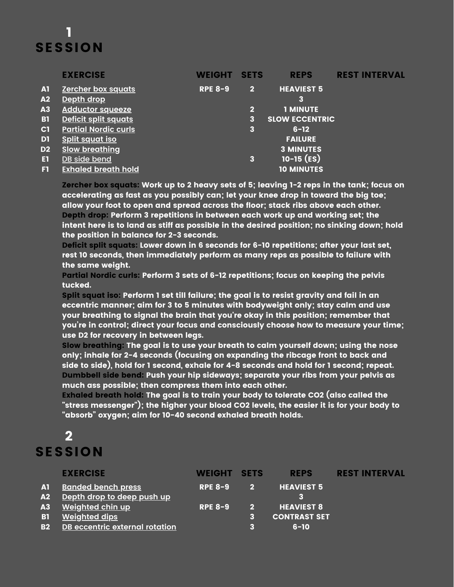# 1 **SESSION**

|                 | <b>EXERCISE</b>             | <b>WEIGHT</b>  | <b>SETS</b>             | <b>REPS</b>           | <b>REST INTERVAL</b> |
|-----------------|-----------------------------|----------------|-------------------------|-----------------------|----------------------|
| A1              | <b>Zercher box squats</b>   | <b>RPE 8-9</b> | $\mathbf{2}$            | <b>HEAVIEST 5</b>     |                      |
| A2              | Depth drop                  |                |                         | 3                     |                      |
| $\overline{A3}$ | <b>Adductor squeeze</b>     |                | $\overline{\mathbf{2}}$ | <b>1 MINUTE</b>       |                      |
| <b>B1</b>       | Deficit split squats        |                | 3                       | <b>SLOW ECCENTRIC</b> |                      |
| C1              | <b>Partial Nordic curls</b> |                | 3                       | $6 - 12$              |                      |
| D <sub>1</sub>  | <b>Split squat iso</b>      |                |                         | <b>FAILURE</b>        |                      |
| D <sub>2</sub>  | <b>Slow breathing</b>       |                |                         | <b>3 MINUTES</b>      |                      |
| ET              | DB side bend                |                | 3                       | $10-15$ (ES)          |                      |
| F1              | <b>Exhaled breath hold</b>  |                |                         | <b>10 MINUTES</b>     |                      |

Zercher box squats: Work up to 2 heavy sets of 5; leaving 1-2 reps in the tank; focus on accelerating as fast as you possibly can; let your knee drop in toward the big toe; allow your foot to open and spread across the floor; stack ribs above each other. Depth drop: Perform 3 repetitions in between each work up and working set; the intent here is to land as stiff as possible in the desired position; no sinking down; hold the position in balance for 2-3 seconds.

Deficit split squats: Lower down in 6 seconds for 6-10 repetitions; after your last set, rest 10 seconds, then immediately perform as many reps as possible to failure with the same weight.

Partial Nordic curls: Perform 3 sets of 6-12 repetitions; focus on keeping the pelvis tucked.

Split squat iso: Perform 1 set till failure; the goal is to resist gravity and fail in an eccentric manner; aim for 3 to 5 minutes with bodyweight only; stay calm and use your breathing to signal the brain that you're okay in this position; remember that you're in control; direct your focus and consciously choose how to measure your time; use D2 for recovery in between legs.

Slow breathing: The goal is to use your breath to calm yourself down; using the nose only; inhale for 2-4 seconds (focusing on expanding the ribcage front to back and side to side), hold for 1 second, exhale for 4-8 seconds and hold for 1 second; repeat. Dumbbell side bend: Push your hip sideways; separate your ribs from your pelvis as much ass possible; then compress them into each other.

Exhaled breath hold: The goal is to train your body to tolerate CO2 (also called the "stress messenger"); the higher your blood CO2 levels, the easier it is for your body to "absorb" oxygen; aim for 10-40 second exhaled breath holds.

# $\overline{\mathbf{2}}$ SESSION

|           | <b>EXERCISE</b>                       | WEIGHT SETS    |                | <b>REPS</b>         | <b>REST INTERVAL</b> |
|-----------|---------------------------------------|----------------|----------------|---------------------|----------------------|
| A1        | <b>Banded bench press</b>             | <b>RPE 8-9</b> | $\mathbf{2}$   | <b>HEAVIEST 5</b>   |                      |
| A2        | Depth drop to deep push up            |                |                |                     |                      |
| A3        | <u>Weighted chin up</u>               | <b>RPE 8-9</b> | $\overline{2}$ | <b>HEAVIEST 8</b>   |                      |
| <b>B1</b> | <b>Weighted dips</b>                  |                | з              | <b>CONTRAST SET</b> |                      |
| <b>B2</b> | <b>DB</b> eccentric external rotation |                |                | $6 - 10$            |                      |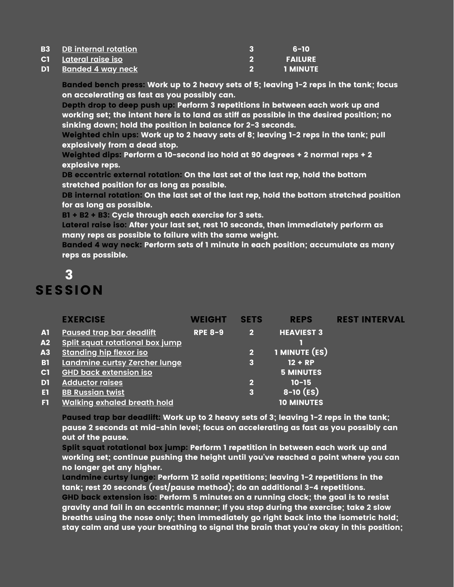| <b>B3</b> DB internal rotation | 6-10             |
|--------------------------------|------------------|
| C1 Lateral raise iso           | <b>FAILURE</b>   |
| D1 Banded 4 way neck           | <b>TI MINUTE</b> |

Banded bench press: Work up to 2 heavy sets of 5; leaving 1-2 reps in the tank; focus on accelerating as fast as you possibly can.

Depth drop to deep push up: Perform 3 repetitions in between each work up and working set; the intent here is to land as stiff as possible in the desired position; no sinking down; hold the position in balance for 2-3 seconds.

Weighted chin ups: Work up to 2 heavy sets of 8; leaving 1-2 reps in the tank; pull explosively from a dead stop.

Weighted dips: Perform a 10-second iso hold at 90 degrees + 2 normal reps + 2 explosive reps.

DB eccentric external rotation: On the last set of the last rep, hold the bottom stretched position for as long as possible.

DB internal rotation: On the last set of the last rep, hold the bottom stretched position for as long as possible.

B1 + B2 + B3: Cycle through each exercise for 3 sets.

Lateral raise iso: After your last set, rest 10 seconds, then immediately perform as many reps as possible to failure with the same weight.

Banded 4 way neck: Perform sets of 1 minute in each position; accumulate as many reps as possible.

# 3 **SESSION**

|                | <b>EXERCISE</b>                        | WEIGHT         | <b>SETS</b>             | <b>REPS</b>                                               | <b>REST INTERVAL</b> |
|----------------|----------------------------------------|----------------|-------------------------|-----------------------------------------------------------|----------------------|
| A <sub>1</sub> | <b>Paused trap bar deadlift</b>        | <b>RPE 8-9</b> | $\overline{\mathbf{2}}$ | <b>HEAVIEST 3</b>                                         |                      |
| A2             | <u>Split squat rotational box jump</u> |                |                         |                                                           |                      |
| A3             | <b>Standing hip flexor iso</b>         |                | 2                       | 1 MINUTE (ES)                                             |                      |
| <b>B1</b>      | Landmine curtsy Zercher lunge          |                | 3                       | $12 + RP$                                                 |                      |
| C1             | <b>GHD back extension iso</b>          |                |                         | $\overline{\mathsf{I}}$ 5 MINUTES $\overline{\mathsf{I}}$ |                      |
| D1             | <b>Adductor raises</b>                 |                | 2                       | $10 - 15$                                                 |                      |
| п              | <b>BB Russian twist</b>                |                | 3                       | $8-10$ (ES)                                               |                      |
| F1             | <b>Walking exhaled breath hold</b>     |                |                         | <b>10 MINUTES</b>                                         |                      |

Paused trap bar deadlift: Work up to 2 heavy sets of 3; leaving 1-2 reps in the tank; pause 2 seconds at mid-shin level; focus on accelerating as fast as you possibly can out of the pause.

Split squat rotational box jump: Perform 1 repetition in between each work up and working set; continue pushing the height until you've reached a point where you can no longer get any higher.

Landmine curtsy lunge: Perform 12 solid repetitions; leaving 1-2 repetitions in the tank; rest 20 seconds (rest/pause method); do an additional 3-4 repetitions. GHD back extension iso: Perform 5 minutes on a running clock; the goal is to resist gravity and fail in an eccentric manner; If you stop during the exercise; take 2 slow breaths using the nose only; then immediately go right back into the isometric hold; stay calm and use your breathing to signal the brain that you're okay in this position;